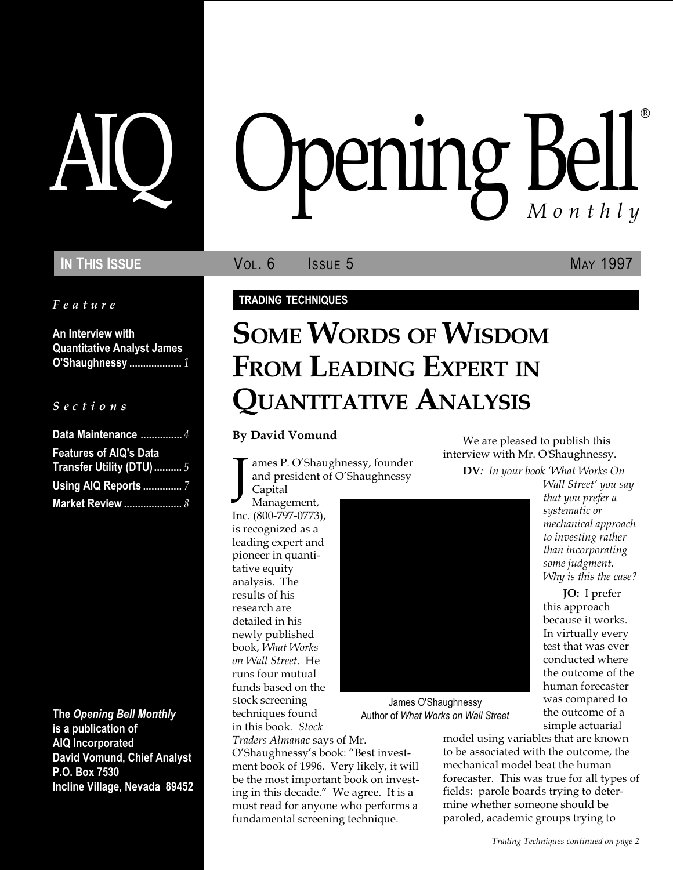Feature

An Interview with Quantitative Analyst James O'Shaughnessy ................... 1

#### S e c t i o n s

| Data Maintenance  4           |  |
|-------------------------------|--|
| <b>Features of AIQ's Data</b> |  |
| Transfer Utility (DTU)  5     |  |
| <b>Using AIQ Reports </b> 7   |  |
| <b>Market Review </b> 8       |  |

The Opening Bell Monthly is a publication of AIQ Incorporated David Vomund, Chief Analyst P.O. Box 7530 Incline Village, Nevada 89452

# AIQ Opening Bell ®

IN THIS ISSUE **VOL. 6** ISSUE 5 MAY 1997

#### TRADING TECHNIQUES

# SOME WORDS OF WISDOM FROM LEADING EXPERT IN QUANTITATIVE ANALYSIS

#### By David Vomund

J ames P. O'Shaughnessy, founder and president of O'Shaughnessy Capital

Management, Inc. (800-797-0773), is recognized as a leading expert and pioneer in quantitative equity analysis. The results of his research are detailed in his newly published book, What Works on Wall Street. He runs four mutual funds based on the stock screening techniques found

in this book. Stock

Traders Almanac says of Mr. O'Shaughnessy's book: "Best investment book of 1996. Very likely, it will be the most important book on investing in this decade." We agree. It is a must read for anyone who performs a fundamental screening technique.

We are pleased to publish this interview with Mr. O'Shaughnessy.

DV: In your book 'What Works On Wall Street' you say

> that you prefer a systematic or mechanical approach to investing rather than incorporating some judgment. Why is this the case? JO: I prefer this approach because it works. In virtually every test that was ever conducted where the outcome of the human forecaster was compared to the outcome of a

James O'Shaughnessy Author of What Works on Wall Street

simple actuarial model using variables that are known to be associated with the outcome, the mechanical model beat the human forecaster. This was true for all types of fields: parole boards trying to determine whether someone should be paroled, academic groups trying to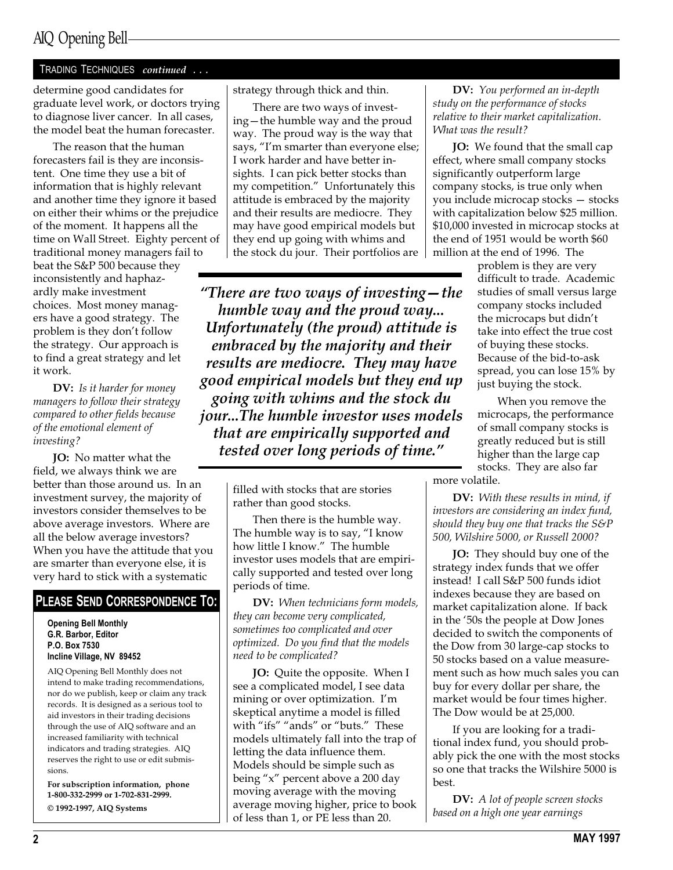#### TRADING TECHNIQUES continued ...

determine good candidates for graduate level work, or doctors trying to diagnose liver cancer. In all cases, the model beat the human forecaster.

The reason that the human forecasters fail is they are inconsistent. One time they use a bit of information that is highly relevant and another time they ignore it based on either their whims or the prejudice of the moment. It happens all the time on Wall Street. Eighty percent of traditional money managers fail to beat the S&P 500 because they inconsistently and haphazardly make investment choices. Most money managers have a good strategy. The problem is they don't follow the strategy. Our approach is to find a great strategy and let it work.

DV: Is it harder for money managers to follow their strategy compared to other fields because of the emotional element of investing?

JO: No matter what the field, we always think we are better than those around us. In an investment survey, the majority of investors consider themselves to be above average investors. Where are all the below average investors? When you have the attitude that you are smarter than everyone else, it is very hard to stick with a systematic

### PLEASE SEND CORRESPONDENCE TO:

Opening Bell Monthly G.R. Barbor, Editor P.O. Box 7530 Incline Village, NV 89452

AIQ Opening Bell Monthly does not intend to make trading recommendations, nor do we publish, keep or claim any track records. It is designed as a serious tool to aid investors in their trading decisions through the use of AIQ software and an increased familiarity with technical indicators and trading strategies. AIQ reserves the right to use or edit submissions.

For subscription information, phone 1-800-332-2999 or 1-702-831-2999. © 1992-1997, AIQ Systems

strategy through thick and thin.

There are two ways of investing – the humble way and the proud way. The proud way is the way that says, "I'm smarter than everyone else; I work harder and have better insights. I can pick better stocks than my competition." Unfortunately this attitude is embraced by the majority and their results are mediocre. They may have good empirical models but they end up going with whims and the stock du jour. Their portfolios are

"There are two ways of investing  $-$  the humble way and the proud way... Unfortunately (the proud) attitude is embraced by the majority and their results are mediocre. They may have good empirical models but they end up going with whims and the stock du jour...The humble investor uses models that are empirically supported and tested over long periods of time.

> filled with stocks that are stories rather than good stocks.

Then there is the humble way. The humble way is to say, "I know how little I know." The humble investor uses models that are empirically supported and tested over long periods of time.

DV: When technicians form models, they can become very complicated, sometimes too complicated and over optimized. Do you find that the models need to be complicated?

JO: Quite the opposite. When I see a complicated model, I see data mining or over optimization. I'm skeptical anytime a model is filled with "ifs" "ands" or "buts." These models ultimately fall into the trap of letting the data influence them. Models should be simple such as being "x" percent above a 200 day moving average with the moving average moving higher, price to book of less than 1, or PE less than 20.

DV: You performed an in-depth study on the performance of stocks relative to their market capitalization. What was the result?

JO: We found that the small cap effect, where small company stocks significantly outperform large company stocks, is true only when you include microcap stocks - stocks with capitalization below \$25 million. \$10,000 invested in microcap stocks at the end of 1951 would be worth \$60 million at the end of 1996. The

> problem is they are very difficult to trade. Academic studies of small versus large company stocks included the microcaps but didn't take into effect the true cost of buying these stocks. Because of the bid-to-ask spread, you can lose 15% by just buying the stock.

When you remove the microcaps, the performance of small company stocks is greatly reduced but is still higher than the large cap stocks. They are also far

more volatile.

DV: With these results in mind, if investors are considering an index fund, should they buy one that tracks the S&P 500, Wilshire 5000, or Russell 2000?

JO: They should buy one of the strategy index funds that we offer instead! I call S&P 500 funds idiot indexes because they are based on market capitalization alone. If back in the 50s the people at Dow Jones decided to switch the components of the Dow from 30 large-cap stocks to 50 stocks based on a value measurement such as how much sales you can buy for every dollar per share, the market would be four times higher. The Dow would be at 25,000.

If you are looking for a traditional index fund, you should probably pick the one with the most stocks so one that tracks the Wilshire 5000 is best.

**DV:** A lot of people screen stocks based on a high one year earnings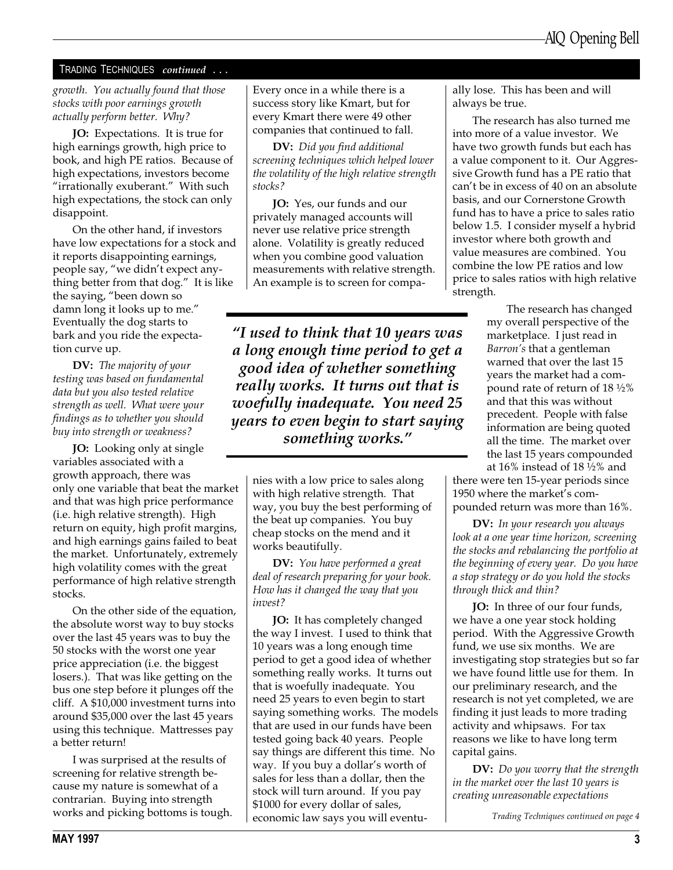#### TRADING TECHNIQUES continued ...

growth. You actually found that those stocks with poor earnings growth actually perform better. Why?

JO: Expectations. It is true for high earnings growth, high price to book, and high PE ratios. Because of high expectations, investors become "irrationally exuberant." With such high expectations, the stock can only disappoint.

On the other hand, if investors have low expectations for a stock and it reports disappointing earnings, people say, "we didn't expect anything better from that dog." It is like the saying, "been down so damn long it looks up to me. Eventually the dog starts to bark and you ride the expectation curve up.

DV: The majority of your testing was based on fundamental data but you also tested relative strength as well. What were your findings as to whether you should buy into strength or weakness?

JO: Looking only at single variables associated with a growth approach, there was only one variable that beat the market and that was high price performance (i.e. high relative strength). High return on equity, high profit margins, and high earnings gains failed to beat the market. Unfortunately, extremely high volatility comes with the great performance of high relative strength stocks.

On the other side of the equation, the absolute worst way to buy stocks over the last 45 years was to buy the 50 stocks with the worst one year price appreciation (i.e. the biggest losers.). That was like getting on the bus one step before it plunges off the cliff. A \$10,000 investment turns into around \$35,000 over the last 45 years using this technique. Mattresses pay a better return!

I was surprised at the results of screening for relative strength because my nature is somewhat of a contrarian. Buying into strength works and picking bottoms is tough. Every once in a while there is a success story like Kmart, but for every Kmart there were 49 other companies that continued to fall.

DV: Did you find additional screening techniques which helped lower the volatility of the high relative strength stocks?

JO: Yes, our funds and our privately managed accounts will never use relative price strength alone. Volatility is greatly reduced when you combine good valuation measurements with relative strength. An example is to screen for compa-

I used to think that 10 years was a long enough time period to get a good idea of whether something really works. It turns out that is woefully inadequate. You need 25 years to even begin to start saying something works.

nies with a low price to sales along with high relative strength. That way, you buy the best performing of the beat up companies. You buy cheap stocks on the mend and it works beautifully.

DV: You have performed a great deal of research preparing for your book. How has it changed the way that you invest?

JO: It has completely changed the way I invest. I used to think that 10 years was a long enough time period to get a good idea of whether something really works. It turns out that is woefully inadequate. You need 25 years to even begin to start saying something works. The models that are used in our funds have been tested going back 40 years. People say things are different this time. No way. If you buy a dollar's worth of sales for less than a dollar, then the stock will turn around. If you pay \$1000 for every dollar of sales, economic law says you will eventually lose. This has been and will always be true.

The research has also turned me into more of a value investor. We have two growth funds but each has a value component to it. Our Aggressive Growth fund has a PE ratio that can't be in excess of 40 on an absolute basis, and our Cornerstone Growth fund has to have a price to sales ratio below 1.5. I consider myself a hybrid investor where both growth and value measures are combined. You combine the low PE ratios and low price to sales ratios with high relative strength.

> The research has changed my overall perspective of the marketplace. I just read in Barron's that a gentleman warned that over the last 15 years the market had a compound rate of return of 18 ½% and that this was without precedent. People with false information are being quoted all the time. The market over the last 15 years compounded at 16% instead of 18 ½% and

there were ten 15-year periods since 1950 where the market's compounded return was more than 16%.

DV: In your research you always look at a one year time horizon, screening the stocks and rebalancing the portfolio at the beginning of every year. Do you have a stop strategy or do you hold the stocks through thick and thin?

JO: In three of our four funds, we have a one year stock holding period. With the Aggressive Growth fund, we use six months. We are investigating stop strategies but so far we have found little use for them. In our preliminary research, and the research is not yet completed, we are finding it just leads to more trading activity and whipsaws. For tax reasons we like to have long term capital gains.

DV: Do you worry that the strength in the market over the last 10 years is creating unreasonable expectations

Trading Techniques continued on page 4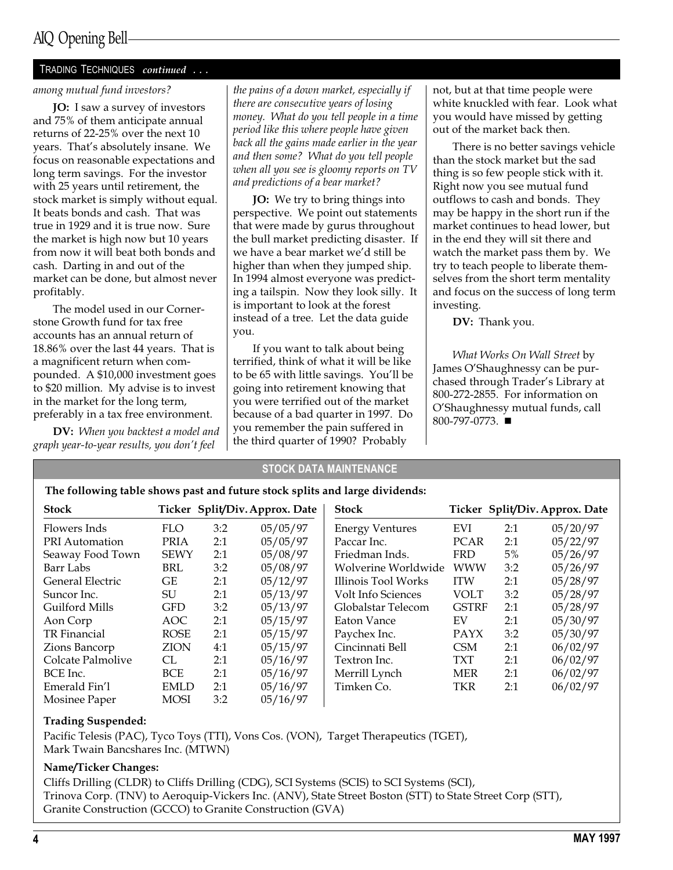## AIQ Opening Bell

#### TRADING TECHNIQUES continued ...

#### among mutual fund investors?

JO: I saw a survey of investors and 75% of them anticipate annual returns of 22-25% over the next 10 years. That's absolutely insane. We focus on reasonable expectations and long term savings. For the investor with 25 years until retirement, the stock market is simply without equal. It beats bonds and cash. That was true in 1929 and it is true now. Sure the market is high now but 10 years from now it will beat both bonds and cash. Darting in and out of the market can be done, but almost never profitably.

The model used in our Cornerstone Growth fund for tax free accounts has an annual return of 18.86% over the last 44 years. That is a magnificent return when compounded. A \$10,000 investment goes to \$20 million. My advise is to invest in the market for the long term, preferably in a tax free environment.

DV: When you backtest a model and graph year-to-year results, you don't feel

the pains of a down market, especially if there are consecutive years of losing money. What do you tell people in a time period like this where people have given back all the gains made earlier in the year and then some? What do you tell people when all you see is gloomy reports on TV and predictions of a bear market?

JO: We try to bring things into perspective. We point out statements that were made by gurus throughout the bull market predicting disaster. If we have a bear market we'd still be higher than when they jumped ship. In 1994 almost everyone was predicting a tailspin. Now they look silly. It is important to look at the forest instead of a tree. Let the data guide you.

If you want to talk about being terrified, think of what it will be like to be 65 with little savings. You'll be going into retirement knowing that you were terrified out of the market because of a bad quarter in 1997. Do you remember the pain suffered in the third quarter of 1990? Probably

not, but at that time people were white knuckled with fear. Look what you would have missed by getting out of the market back then.

There is no better savings vehicle than the stock market but the sad thing is so few people stick with it. Right now you see mutual fund outflows to cash and bonds. They may be happy in the short run if the market continues to head lower, but in the end they will sit there and watch the market pass them by. We try to teach people to liberate themselves from the short term mentality and focus on the success of long term investing.

DV: Thank you.

What Works On Wall Street by James O'Shaughnessy can be purchased through Trader's Library at 800-272-2855. For information on O'Shaughnessy mutual funds, call 800-797-0773. ■

#### STOCK DATA MAINTENANCE

| The following table shows past and future stock splits and large dividends: |  |
|-----------------------------------------------------------------------------|--|
|-----------------------------------------------------------------------------|--|

| <b>Stock</b>          |             |     | Ticker Split/Div. Approx. Date | <b>Stock</b>           |              |     | Ticker Split/Div. Approx. Date |
|-----------------------|-------------|-----|--------------------------------|------------------------|--------------|-----|--------------------------------|
| Flowers Inds          | <b>FLO</b>  | 3:2 | 05/05/97                       | <b>Energy Ventures</b> | EVI          | 2:1 | 05/20/97                       |
| <b>PRI</b> Automation | PRIA        | 2:1 | 05/05/97                       | Paccar Inc.            | <b>PCAR</b>  | 2:1 | 05/22/97                       |
| Seaway Food Town      | <b>SEWY</b> | 2:1 | 05/08/97                       | Friedman Inds.         | <b>FRD</b>   | 5%  | 05/26/97                       |
| Barr Labs             | BRL         | 3:2 | 05/08/97                       | Wolverine Worldwide    | <b>WWW</b>   | 3:2 | 05/26/97                       |
| General Electric      | GE          | 2:1 | 05/12/97                       | Illinois Tool Works    | <b>ITW</b>   | 2:1 | 05/28/97                       |
| Suncor Inc.           | SU          | 2:1 | 05/13/97                       | Volt Info Sciences     | <b>VOLT</b>  | 3:2 | 05/28/97                       |
| Guilford Mills        | <b>GFD</b>  | 3:2 | 05/13/97                       | Globalstar Telecom     | <b>GSTRF</b> | 2:1 | 05/28/97                       |
| Aon Corp              | AOC.        | 2:1 | 05/15/97                       | Eaton Vance            | EV           | 2:1 | 05/30/97                       |
| TR Financial          | <b>ROSE</b> | 2:1 | 05/15/97                       | Paychex Inc.           | <b>PAYX</b>  | 3:2 | 05/30/97                       |
| Zions Bancorp         | ZION        | 4:1 | 05/15/97                       | Cincinnati Bell        | <b>CSM</b>   | 2:1 | 06/02/97                       |
| Colcate Palmolive     | CL          | 2:1 | 05/16/97                       | Textron Inc.           | <b>TXT</b>   | 2:1 | 06/02/97                       |
| BCE Inc.              | <b>BCE</b>  | 2:1 | 05/16/97                       | Merrill Lynch          | <b>MER</b>   | 2:1 | 06/02/97                       |
| Emerald Fin'l         | <b>EMLD</b> | 2:1 | 05/16/97                       | Timken Co.             | TKR          | 2:1 | 06/02/97                       |
| Mosinee Paper         | MOSI        | 3:2 | 05/16/97                       |                        |              |     |                                |

#### Trading Suspended:

Pacific Telesis (PAC), Tyco Toys (TTI), Vons Cos. (VON), Target Therapeutics (TGET), Mark Twain Bancshares Inc. (MTWN)

#### Name/Ticker Changes:

Cliffs Drilling (CLDR) to Cliffs Drilling (CDG), SCI Systems (SCIS) to SCI Systems (SCI), Trinova Corp. (TNV) to Aeroquip-Vickers Inc. (ANV), State Street Boston (STT) to State Street Corp (STT), Granite Construction (GCCO) to Granite Construction (GVA)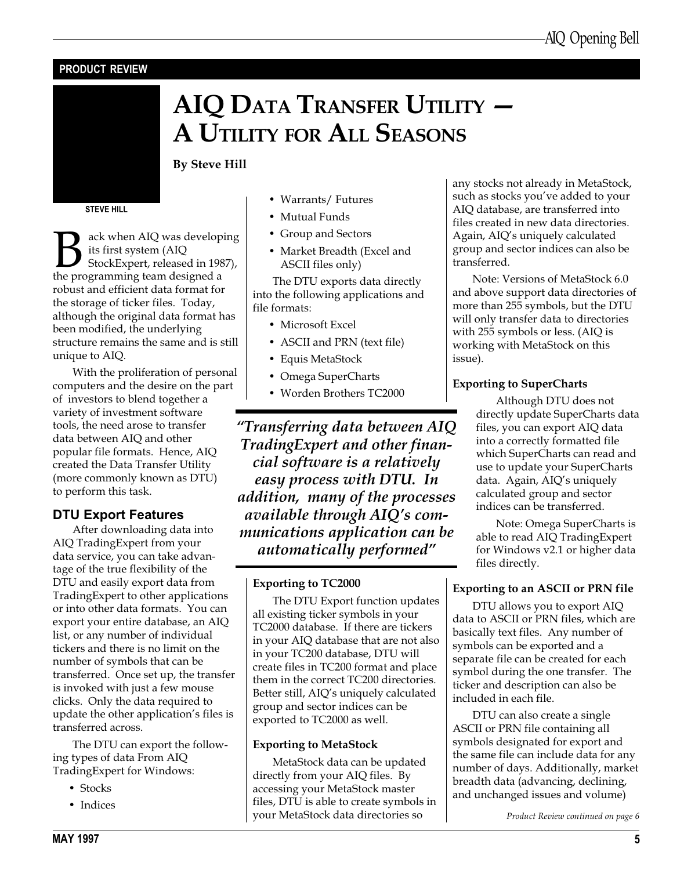## PRODUCT REVIEW

## AIQ DATA TRANSFER UTILITY A UTILITY FOR ALL SEASONS

By Steve Hill

STEVE HILL

Back when AIQ was developing<br>its first system (AIQ<br>StockExpert, released in 1987),<br>the programming team designed a its first system (AIQ StockExpert, released in 1987), the programming team designed a robust and efficient data format for the storage of ticker files. Today, although the original data format has been modified, the underlying structure remains the same and is still unique to AIQ.

With the proliferation of personal computers and the desire on the part of investors to blend together a variety of investment software tools, the need arose to transfer data between AIQ and other popular file formats. Hence, AIQ created the Data Transfer Utility (more commonly known as DTU) to perform this task.

### DTU Export Features

After downloading data into AIQ TradingExpert from your data service, you can take advantage of the true flexibility of the DTU and easily export data from TradingExpert to other applications or into other data formats. You can export your entire database, an AIQ list, or any number of individual tickers and there is no limit on the number of symbols that can be transferred. Once set up, the transfer is invoked with just a few mouse clicks. Only the data required to update the other application's files is transferred across.

The DTU can export the following types of data From AIQ TradingExpert for Windows:

- Stocks
- Indices
- Warrants/ Futures
- Mutual Funds
- Group and Sectors
- Market Breadth (Excel and ASCII files only)

The DTU exports data directly into the following applications and file formats:

- Microsoft Excel
- ASCII and PRN (text file)
- Equis MetaStock
- Omega SuperCharts
- Worden Brothers TC2000

Transferring data between AIQ TradingExpert and other financial software is a relatively easy process with DTU. In addition, many of the processes available through  $AIO$ 's communications application can be automatically performed

#### Exporting to TC2000

The DTU Export function updates all existing ticker symbols in your TC2000 database. If there are tickers in your AIQ database that are not also in your TC200 database, DTU will create files in TC200 format and place them in the correct TC200 directories. Better still, AIQ's uniquely calculated group and sector indices can be exported to TC2000 as well.

#### Exporting to MetaStock

MetaStock data can be updated directly from your AIQ files. By accessing your MetaStock master files, DTU is able to create symbols in your MetaStock data directories so

any stocks not already in MetaStock, such as stocks you've added to your AIQ database, are transferred into files created in new data directories. Again, AIQ's uniquely calculated group and sector indices can also be transferred.

Note: Versions of MetaStock 6.0 and above support data directories of more than 255 symbols, but the DTU will only transfer data to directories with 255 symbols or less. (AIQ is working with MetaStock on this issue).

#### Exporting to SuperCharts

Although DTU does not directly update SuperCharts data files, you can export AIQ data into a correctly formatted file which SuperCharts can read and use to update your SuperCharts data. Again, AIQ's uniquely calculated group and sector indices can be transferred.

Note: Omega SuperCharts is able to read AIQ TradingExpert for Windows v2.1 or higher data files directly.

#### Exporting to an ASCII or PRN file

DTU allows you to export AIQ data to ASCII or PRN files, which are basically text files. Any number of symbols can be exported and a separate file can be created for each symbol during the one transfer. The ticker and description can also be included in each file.

DTU can also create a single ASCII or PRN file containing all symbols designated for export and the same file can include data for any number of days. Additionally, market breadth data (advancing, declining, and unchanged issues and volume)

Product Review continued on page 6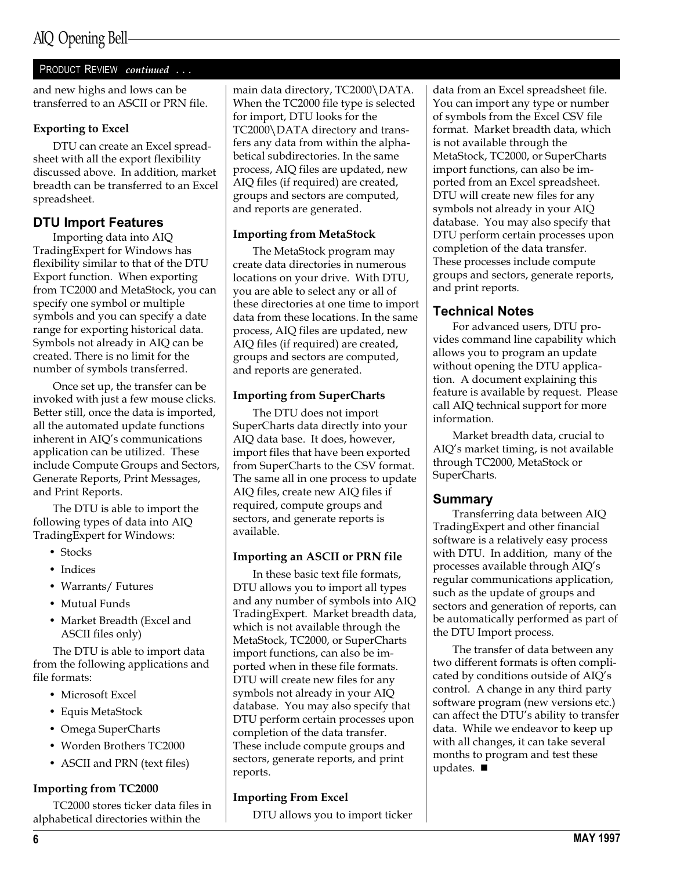#### PRODUCT REVIEW continued ...

and new highs and lows can be transferred to an ASCII or PRN file.

#### Exporting to Excel

DTU can create an Excel spreadsheet with all the export flexibility discussed above. In addition, market breadth can be transferred to an Excel spreadsheet.

#### DTU Import Features

Importing data into AIQ TradingExpert for Windows has flexibility similar to that of the DTU Export function. When exporting from TC2000 and MetaStock, you can specify one symbol or multiple symbols and you can specify a date range for exporting historical data. Symbols not already in AIQ can be created. There is no limit for the number of symbols transferred.

Once set up, the transfer can be invoked with just a few mouse clicks. Better still, once the data is imported, all the automated update functions inherent in AIQ's communications application can be utilized. These include Compute Groups and Sectors, Generate Reports, Print Messages, and Print Reports.

The DTU is able to import the following types of data into AIQ TradingExpert for Windows:

- Stocks
- Indices
- Warrants/ Futures
- Mutual Funds
- Market Breadth (Excel and ASCII files only)

The DTU is able to import data from the following applications and file formats:

- Microsoft Excel
- Equis MetaStock
- Omega SuperCharts
- Worden Brothers TC2000
- ASCII and PRN (text files)

#### Importing from TC2000

TC2000 stores ticker data files in alphabetical directories within the

main data directory, TC2000\DATA. When the TC2000 file type is selected for import, DTU looks for the TC2000\DATA directory and transfers any data from within the alphabetical subdirectories. In the same process, AIQ files are updated, new AIQ files (if required) are created, groups and sectors are computed, and reports are generated.

#### Importing from MetaStock

The MetaStock program may create data directories in numerous locations on your drive. With DTU, you are able to select any or all of these directories at one time to import data from these locations. In the same process, AIQ files are updated, new AIQ files (if required) are created, groups and sectors are computed, and reports are generated.

#### Importing from SuperCharts

The DTU does not import SuperCharts data directly into your AIQ data base. It does, however, import files that have been exported from SuperCharts to the CSV format. The same all in one process to update AIQ files, create new AIQ files if required, compute groups and sectors, and generate reports is available.

#### Importing an ASCII or PRN file

In these basic text file formats, DTU allows you to import all types and any number of symbols into AIQ TradingExpert. Market breadth data, which is not available through the MetaStock, TC2000, or SuperCharts import functions, can also be imported when in these file formats. DTU will create new files for any symbols not already in your AIQ database. You may also specify that DTU perform certain processes upon completion of the data transfer. These include compute groups and sectors, generate reports, and print reports.

#### Importing From Excel

DTU allows you to import ticker

data from an Excel spreadsheet file. You can import any type or number of symbols from the Excel CSV file format. Market breadth data, which is not available through the MetaStock, TC2000, or SuperCharts import functions, can also be imported from an Excel spreadsheet. DTU will create new files for any symbols not already in your AIQ database. You may also specify that DTU perform certain processes upon completion of the data transfer. These processes include compute groups and sectors, generate reports, and print reports.

#### Technical Notes

For advanced users, DTU provides command line capability which allows you to program an update without opening the DTU application. A document explaining this feature is available by request. Please call AIQ technical support for more information.

Market breadth data, crucial to AIO's market timing, is not available through TC2000, MetaStock or SuperCharts.

#### Summary

Transferring data between AIQ TradingExpert and other financial software is a relatively easy process with DTU. In addition, many of the processes available through AIQ's regular communications application, such as the update of groups and sectors and generation of reports, can be automatically performed as part of the DTU Import process.

The transfer of data between any two different formats is often complicated by conditions outside of AIQ's control. A change in any third party software program (new versions etc.) can affect the DTU's ability to transfer data. While we endeavor to keep up with all changes, it can take several months to program and test these updates.  $\blacksquare$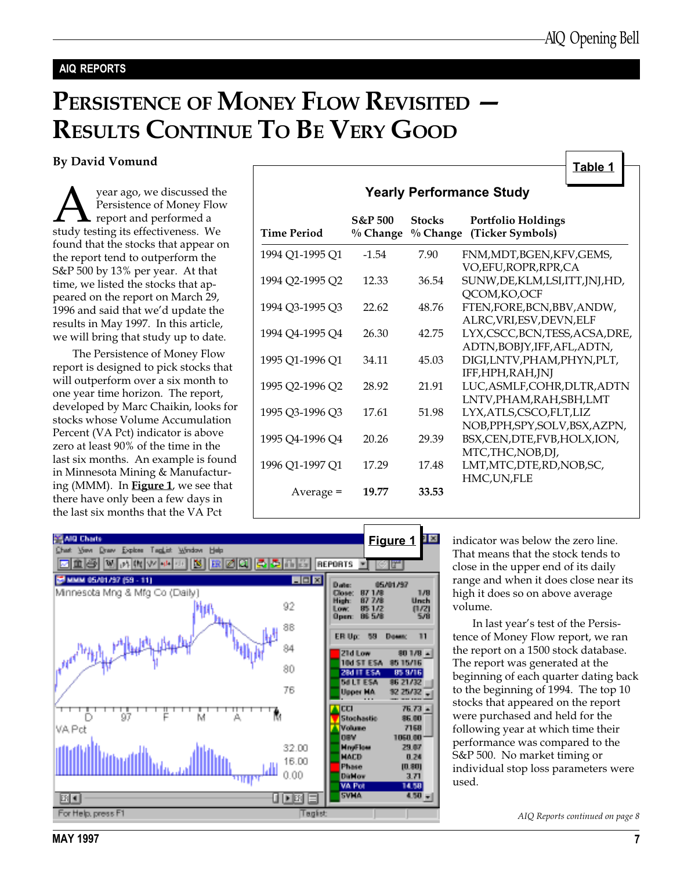Table 1

#### AIQ REPORTS

## PERSISTENCE OF MONEY FLOW REVISITED -RESULTS CONTINUE TO BE VERY GOOD

By David Vomund

**A** year ago, we discussed the Persistence of Money Flow<br>study testing its effectiveness. We Persistence of Money Flow report and performed a found that the stocks that appear on the report tend to outperform the S&P 500 by 13% per year. At that time, we listed the stocks that appeared on the report on March 29, 1996 and said that we'd update the results in May 1997. In this article, we will bring that study up to date.

The Persistence of Money Flow report is designed to pick stocks that will outperform over a six month to one year time horizon. The report, developed by Marc Chaikin, looks for stocks whose Volume Accumulation Percent (VA Pct) indicator is above zero at least 90% of the time in the last six months. An example is found in Minnesota Mining & Manufacturing (MMM). In Figure 1, we see that there have only been a few days in the last six months that the VA Pct

|                 |                                  |                             | <u>. univ i</u><br><b>Yearly Performance Study</b>               |
|-----------------|----------------------------------|-----------------------------|------------------------------------------------------------------|
| Time Period     | <b>S&amp;P 500</b><br>$%$ Change | <b>Stocks</b><br>$%$ Change | <b>Portfolio Holdings</b><br>(Ticker Symbols)                    |
| 1994 Q1-1995 Q1 | $-1.54$                          | 7.90                        | FNM, MDT, BGEN, KFV, GEMS,<br>VO, EFU, ROPR, RPR, CA             |
| 1994 Q2-1995 Q2 | 12.33                            | 36.54                       | SUNW, DE, KLM, LSI, ITT, JNJ, HD,<br>QCOM, KO, OCF               |
| 1994 Q3-1995 Q3 | 22.62                            | 48.76                       | FTEN, FORE, BCN, BBV, ANDW,<br>ALRC, VRI, ESV, DEVN, ELF         |
| 1994 Q4-1995 Q4 | 26.30                            | 42.75                       | LYX, CSCC, BCN, TESS, ACSA, DRE,<br>ADTN, BOBJY, IFF, AFL, ADTN, |
| 1995 Q1-1996 Q1 | 34.11                            | 45.03                       | DIGI, LNTV, PHAM, PHYN, PLT,<br>IFF,HPH,RAH,JNJ                  |
| 1995 Q2-1996 Q2 | 28.92                            | 21.91                       | LUC, ASMLF, COHR, DLTR, ADTN<br>LNTV, PHAM, RAH, SBH, LMT        |
| 1995 Q3-1996 Q3 | 17.61                            | 51.98                       | LYX, ATLS, CSCO, FLT, LIZ<br>NOB, PPH, SPY, SOLV, BSX, AZPN,     |
| 1995 Q4-1996 Q4 | 20.26                            | 29.39                       | BSX,CEN,DTE,FVB,HOLX,ION,                                        |
| 1996 Q1-1997 Q1 | 17.29                            | 17.48                       | MTC,THC,NOB,DJ,<br>LMT, MTC, DTE, RD, NOB, SC,                   |
| Average =       | 19.77                            | 33.53                       | HMC, UN, FLE                                                     |



indicator was below the zero line. That means that the stock tends to close in the upper end of its daily range and when it does close near its high it does so on above average volume.

In last year's test of the Persistence of Money Flow report, we ran the report on a 1500 stock database. The report was generated at the beginning of each quarter dating back to the beginning of 1994. The top 10 stocks that appeared on the report were purchased and held for the following year at which time their performance was compared to the S&P 500. No market timing or individual stop loss parameters were used.

AIQ Reports continued on page 8